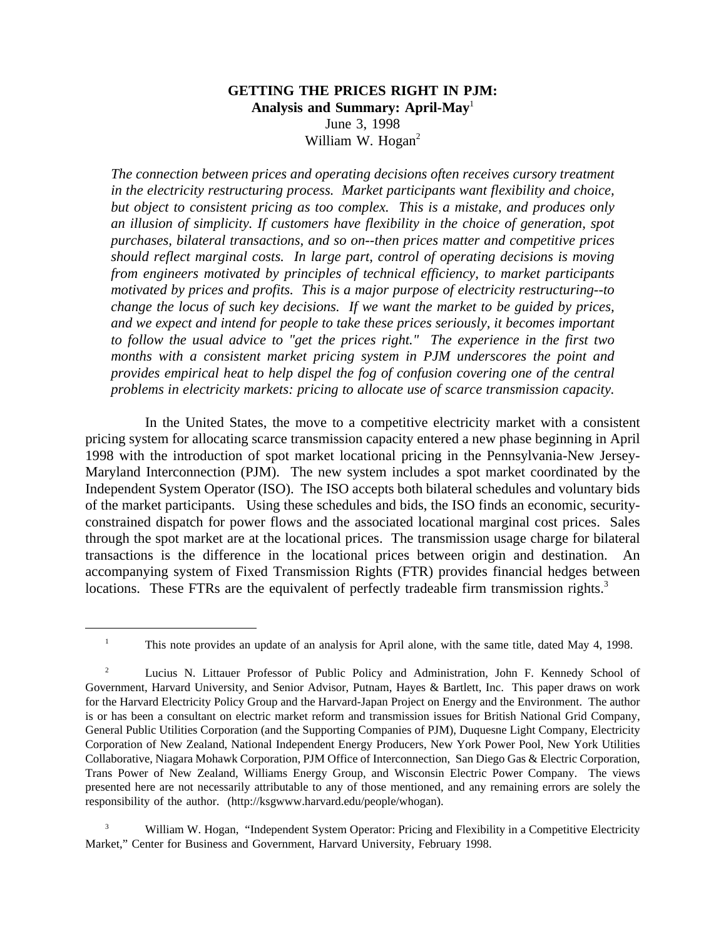## **GETTING THE PRICES RIGHT IN PJM: Analysis and Summary: April-May**<sup>1</sup> June 3, 1998 William W. Hogan<sup>2</sup>

*The connection between prices and operating decisions often receives cursory treatment in the electricity restructuring process. Market participants want flexibility and choice, but object to consistent pricing as too complex. This is a mistake, and produces only an illusion of simplicity. If customers have flexibility in the choice of generation, spot purchases, bilateral transactions, and so on--then prices matter and competitive prices should reflect marginal costs. In large part, control of operating decisions is moving from engineers motivated by principles of technical efficiency, to market participants motivated by prices and profits. This is a major purpose of electricity restructuring--to change the locus of such key decisions. If we want the market to be guided by prices, and we expect and intend for people to take these prices seriously, it becomes important to follow the usual advice to "get the prices right." The experience in the first two months with a consistent market pricing system in PJM underscores the point and provides empirical heat to help dispel the fog of confusion covering one of the central problems in electricity markets: pricing to allocate use of scarce transmission capacity.*

In the United States, the move to a competitive electricity market with a consistent pricing system for allocating scarce transmission capacity entered a new phase beginning in April 1998 with the introduction of spot market locational pricing in the Pennsylvania-New Jersey-Maryland Interconnection (PJM). The new system includes a spot market coordinated by the Independent System Operator (ISO). The ISO accepts both bilateral schedules and voluntary bids of the market participants. Using these schedules and bids, the ISO finds an economic, securityconstrained dispatch for power flows and the associated locational marginal cost prices. Sales through the spot market are at the locational prices. The transmission usage charge for bilateral transactions is the difference in the locational prices between origin and destination. An accompanying system of Fixed Transmission Rights (FTR) provides financial hedges between locations. These FTRs are the equivalent of perfectly tradeable firm transmission rights.<sup>3</sup>

<sup>&</sup>lt;sup>1</sup> This note provides an update of an analysis for April alone, with the same title, dated May 4, 1998.

<sup>2</sup> Lucius N. Littauer Professor of Public Policy and Administration, John F. Kennedy School of Government, Harvard University, and Senior Advisor, Putnam, Hayes & Bartlett, Inc. This paper draws on work for the Harvard Electricity Policy Group and the Harvard-Japan Project on Energy and the Environment. The author is or has been a consultant on electric market reform and transmission issues for British National Grid Company, General Public Utilities Corporation (and the Supporting Companies of PJM), Duquesne Light Company, Electricity Corporation of New Zealand, National Independent Energy Producers, New York Power Pool, New York Utilities Collaborative, Niagara Mohawk Corporation, PJM Office of Interconnection, San Diego Gas & Electric Corporation, Trans Power of New Zealand, Williams Energy Group, and Wisconsin Electric Power Company. The views presented here are not necessarily attributable to any of those mentioned, and any remaining errors are solely the responsibility of the author. (http://ksgwww.harvard.edu/people/whogan).

William W. Hogan, "Independent System Operator: Pricing and Flexibility in a Competitive Electricity Market," Center for Business and Government, Harvard University, February 1998.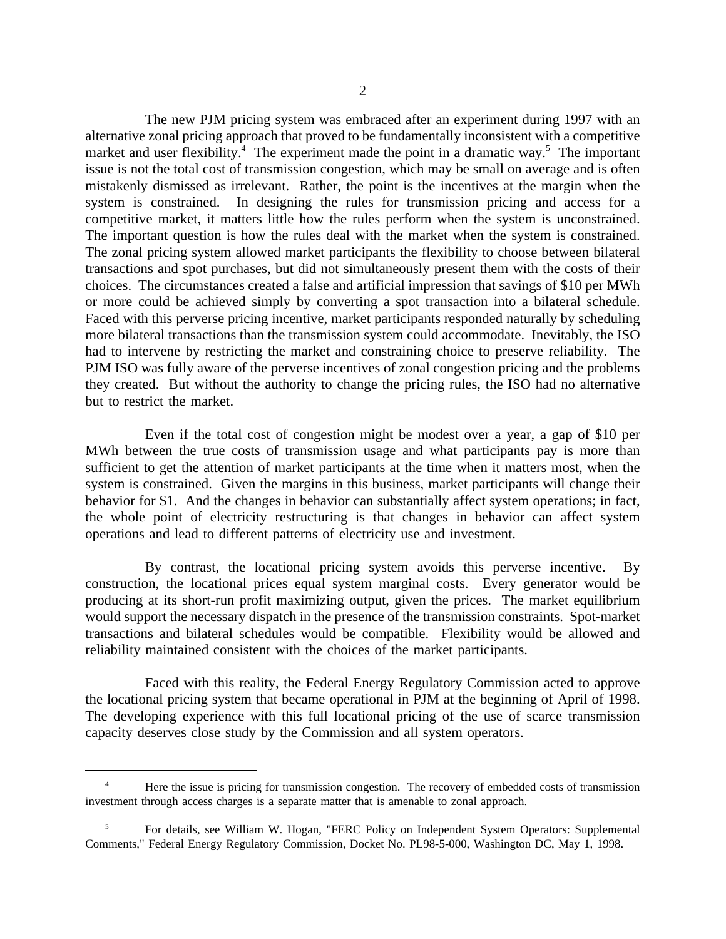The new PJM pricing system was embraced after an experiment during 1997 with an alternative zonal pricing approach that proved to be fundamentally inconsistent with a competitive market and user flexibility.<sup>4</sup> The experiment made the point in a dramatic way.<sup>5</sup> The important issue is not the total cost of transmission congestion, which may be small on average and is often mistakenly dismissed as irrelevant. Rather, the point is the incentives at the margin when the system is constrained. In designing the rules for transmission pricing and access for a competitive market, it matters little how the rules perform when the system is unconstrained. The important question is how the rules deal with the market when the system is constrained. The zonal pricing system allowed market participants the flexibility to choose between bilateral transactions and spot purchases, but did not simultaneously present them with the costs of their choices. The circumstances created a false and artificial impression that savings of \$10 per MWh or more could be achieved simply by converting a spot transaction into a bilateral schedule. Faced with this perverse pricing incentive, market participants responded naturally by scheduling more bilateral transactions than the transmission system could accommodate. Inevitably, the ISO had to intervene by restricting the market and constraining choice to preserve reliability. The PJM ISO was fully aware of the perverse incentives of zonal congestion pricing and the problems they created. But without the authority to change the pricing rules, the ISO had no alternative but to restrict the market.

Even if the total cost of congestion might be modest over a year, a gap of \$10 per MWh between the true costs of transmission usage and what participants pay is more than sufficient to get the attention of market participants at the time when it matters most, when the system is constrained. Given the margins in this business, market participants will change their behavior for \$1. And the changes in behavior can substantially affect system operations; in fact, the whole point of electricity restructuring is that changes in behavior can affect system operations and lead to different patterns of electricity use and investment.

By contrast, the locational pricing system avoids this perverse incentive. By construction, the locational prices equal system marginal costs. Every generator would be producing at its short-run profit maximizing output, given the prices. The market equilibrium would support the necessary dispatch in the presence of the transmission constraints. Spot-market transactions and bilateral schedules would be compatible. Flexibility would be allowed and reliability maintained consistent with the choices of the market participants.

Faced with this reality, the Federal Energy Regulatory Commission acted to approve the locational pricing system that became operational in PJM at the beginning of April of 1998. The developing experience with this full locational pricing of the use of scarce transmission capacity deserves close study by the Commission and all system operators.

<sup>&</sup>lt;sup>4</sup> Here the issue is pricing for transmission congestion. The recovery of embedded costs of transmission investment through access charges is a separate matter that is amenable to zonal approach.

<sup>5</sup> For details, see William W. Hogan, "FERC Policy on Independent System Operators: Supplemental Comments," Federal Energy Regulatory Commission, Docket No. PL98-5-000, Washington DC, May 1, 1998.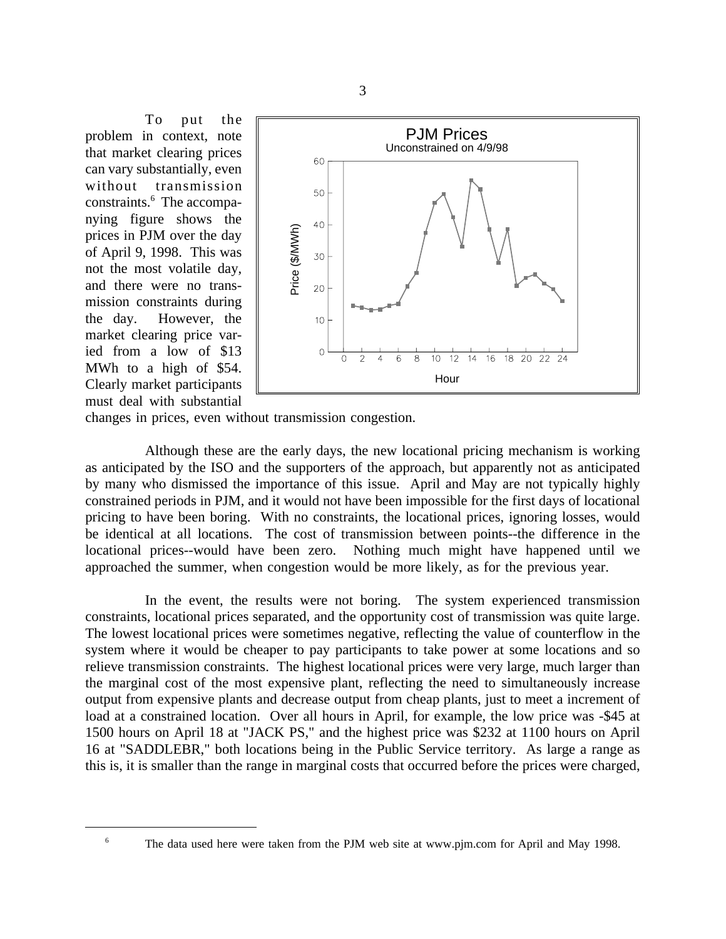To put the problem in context, note that market clearing prices can vary substantially, even without transmission constraints.<sup>6</sup> The accompanying figure shows the prices in PJM over the day of April 9, 1998. This was not the most volatile day, and there were no transmission constraints during the day. However, the market clearing price varied from a low of \$13 MWh to a high of \$54. Clearly market participants must deal with substantial



changes in prices, even without transmission congestion.

Although these are the early days, the new locational pricing mechanism is working as anticipated by the ISO and the supporters of the approach, but apparently not as anticipated by many who dismissed the importance of this issue. April and May are not typically highly constrained periods in PJM, and it would not have been impossible for the first days of locational pricing to have been boring. With no constraints, the locational prices, ignoring losses, would be identical at all locations. The cost of transmission between points--the difference in the locational prices--would have been zero. Nothing much might have happened until we approached the summer, when congestion would be more likely, as for the previous year.

In the event, the results were not boring. The system experienced transmission constraints, locational prices separated, and the opportunity cost of transmission was quite large. The lowest locational prices were sometimes negative, reflecting the value of counterflow in the system where it would be cheaper to pay participants to take power at some locations and so relieve transmission constraints. The highest locational prices were very large, much larger than the marginal cost of the most expensive plant, reflecting the need to simultaneously increase output from expensive plants and decrease output from cheap plants, just to meet a increment of load at a constrained location. Over all hours in April, for example, the low price was -\$45 at 1500 hours on April 18 at "JACK PS," and the highest price was \$232 at 1100 hours on April 16 at "SADDLEBR," both locations being in the Public Service territory. As large a range as this is, it is smaller than the range in marginal costs that occurred before the prices were charged,

<sup>6</sup> The data used here were taken from the PJM web site at www.pjm.com for April and May 1998.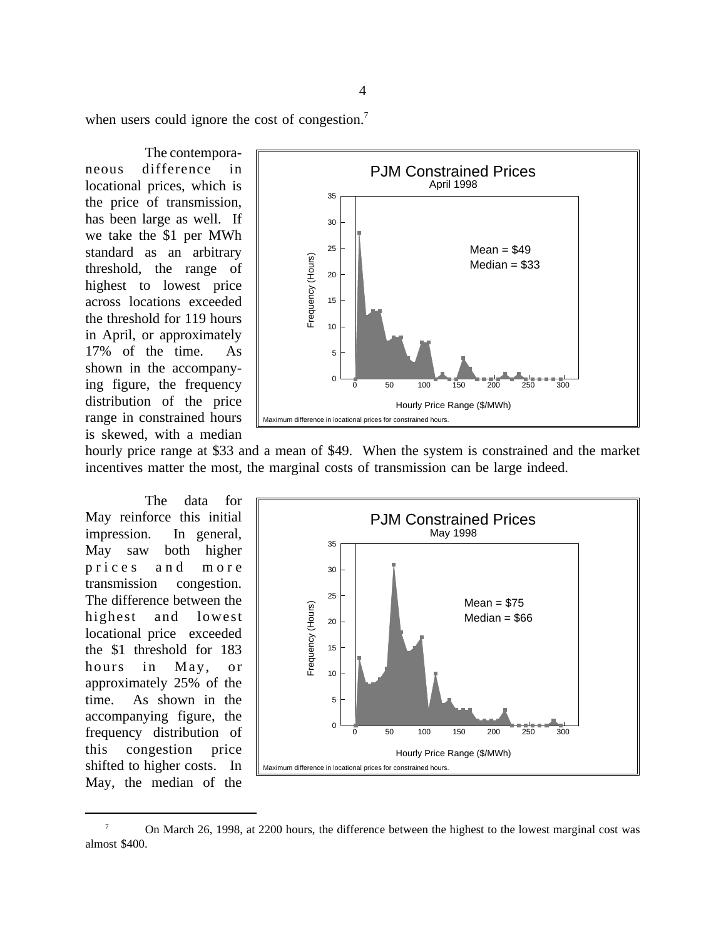when users could ignore the cost of congestion.<sup>7</sup>

The contemporaneous difference in locational prices, which is the price of transmission, has been large as well. If we take the \$1 per MWh standard as an arbitrary threshold, the range of highest to lowest price across locations exceeded the threshold for 119 hours in April, or approximately 17% of the time. As shown in the accompanying figure, the frequency distribution of the price range in constrained hours is skewed, with a median



hourly price range at \$33 and a mean of \$49. When the system is constrained and the market incentives matter the most, the marginal costs of transmission can be large indeed.

The data for May reinforce this initial impression. In general, May saw both higher prices and more transmission congestion. The difference between the highest and lowest locational price exceeded the \$1 threshold for 183 hours in May, or approximately 25% of the time. As shown in the accompanying figure, the frequency distribution of this congestion price shifted to higher costs. In May, the median of the



<sup>7</sup> On March 26, 1998, at 2200 hours, the difference between the highest to the lowest marginal cost was almost \$400.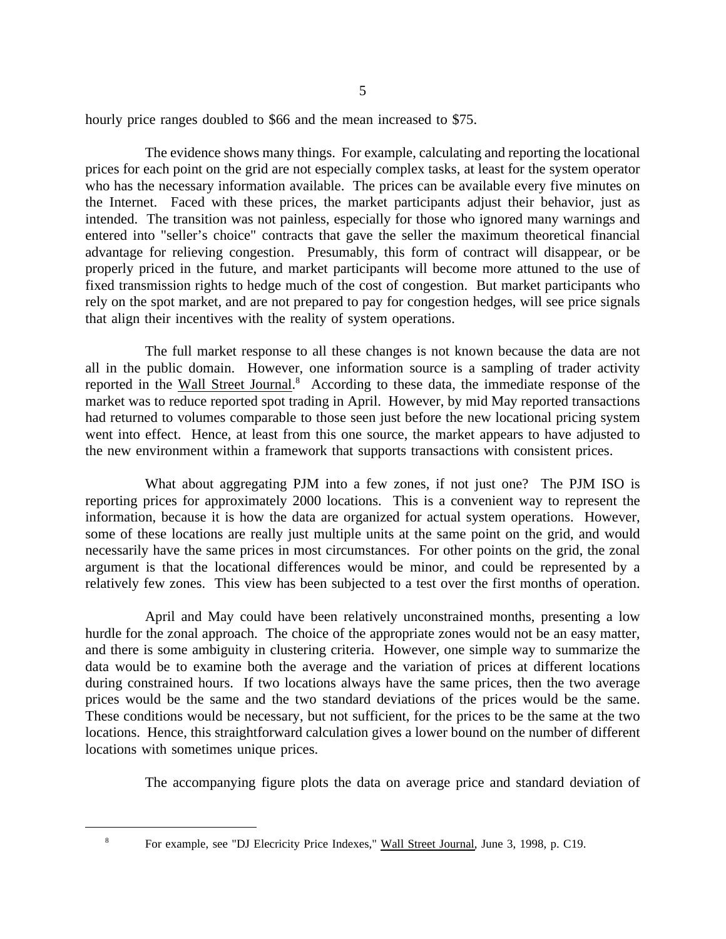hourly price ranges doubled to \$66 and the mean increased to \$75.

The evidence shows many things. For example, calculating and reporting the locational prices for each point on the grid are not especially complex tasks, at least for the system operator who has the necessary information available. The prices can be available every five minutes on the Internet. Faced with these prices, the market participants adjust their behavior, just as intended. The transition was not painless, especially for those who ignored many warnings and entered into "seller's choice" contracts that gave the seller the maximum theoretical financial advantage for relieving congestion. Presumably, this form of contract will disappear, or be properly priced in the future, and market participants will become more attuned to the use of fixed transmission rights to hedge much of the cost of congestion. But market participants who rely on the spot market, and are not prepared to pay for congestion hedges, will see price signals that align their incentives with the reality of system operations.

The full market response to all these changes is not known because the data are not all in the public domain. However, one information source is a sampling of trader activity reported in the Wall Street Journal.<sup>8</sup> According to these data, the immediate response of the market was to reduce reported spot trading in April. However, by mid May reported transactions had returned to volumes comparable to those seen just before the new locational pricing system went into effect. Hence, at least from this one source, the market appears to have adjusted to the new environment within a framework that supports transactions with consistent prices.

What about aggregating PJM into a few zones, if not just one? The PJM ISO is reporting prices for approximately 2000 locations. This is a convenient way to represent the information, because it is how the data are organized for actual system operations. However, some of these locations are really just multiple units at the same point on the grid, and would necessarily have the same prices in most circumstances. For other points on the grid, the zonal argument is that the locational differences would be minor, and could be represented by a relatively few zones. This view has been subjected to a test over the first months of operation.

April and May could have been relatively unconstrained months, presenting a low hurdle for the zonal approach. The choice of the appropriate zones would not be an easy matter, and there is some ambiguity in clustering criteria. However, one simple way to summarize the data would be to examine both the average and the variation of prices at different locations during constrained hours. If two locations always have the same prices, then the two average prices would be the same and the two standard deviations of the prices would be the same. These conditions would be necessary, but not sufficient, for the prices to be the same at the two locations. Hence, this straightforward calculation gives a lower bound on the number of different locations with sometimes unique prices.

The accompanying figure plots the data on average price and standard deviation of

<sup>&</sup>lt;sup>8</sup> For example, see "DJ Elecricity Price Indexes," Wall Street Journal, June 3, 1998, p. C19.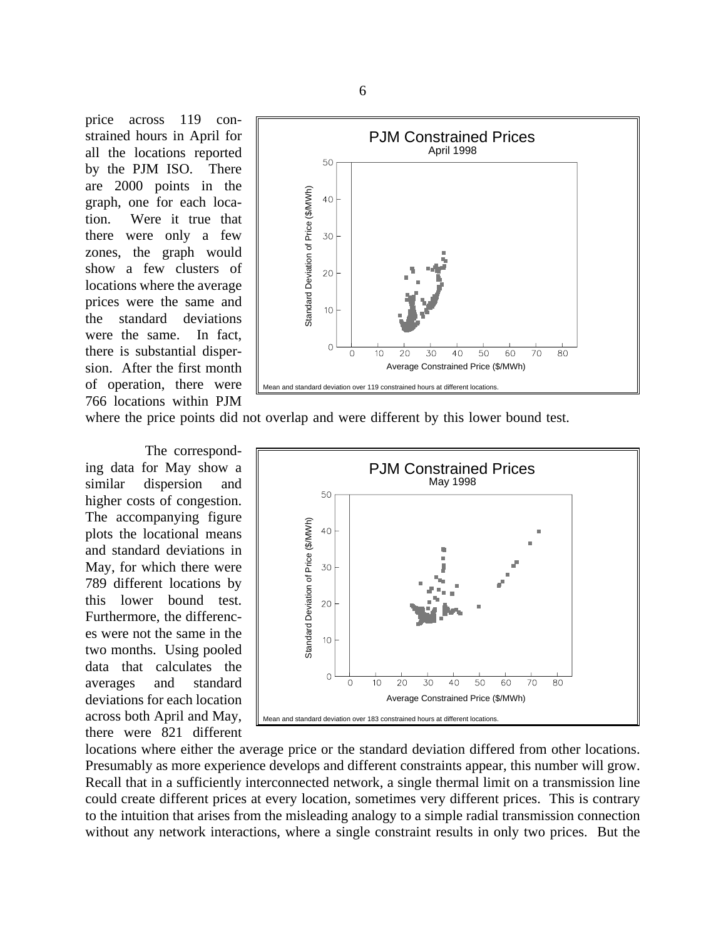price across 119 constrained hours in April for all the locations reported by the PJM ISO. There are 2000 points in the graph, one for each location. Were it true that there were only a few zones, the graph would show a few clusters of locations where the average prices were the same and the standard deviations were the same. In fact, there is substantial dispersion. After the first month of operation, there were 766 locations within PJM



where the price points did not overlap and were different by this lower bound test.

The corresponding data for May show a similar dispersion and higher costs of congestion. The accompanying figure plots the locational means and standard deviations in May, for which there were 789 different locations by this lower bound test. Furthermore, the differences were not the same in the two months. Using pooled data that calculates the averages and standard deviations for each location across both April and May, there were 821 different



locations where either the average price or the standard deviation differed from other locations. Presumably as more experience develops and different constraints appear, this number will grow. Recall that in a sufficiently interconnected network, a single thermal limit on a transmission line could create different prices at every location, sometimes very different prices. This is contrary to the intuition that arises from the misleading analogy to a simple radial transmission connection without any network interactions, where a single constraint results in only two prices. But the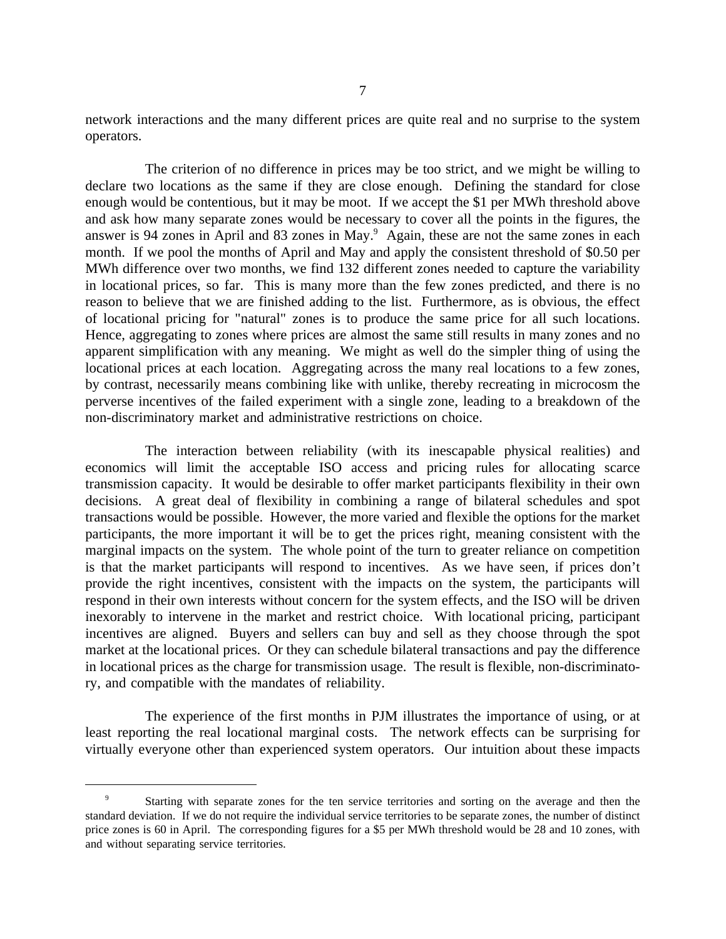network interactions and the many different prices are quite real and no surprise to the system operators.

The criterion of no difference in prices may be too strict, and we might be willing to declare two locations as the same if they are close enough. Defining the standard for close enough would be contentious, but it may be moot. If we accept the \$1 per MWh threshold above and ask how many separate zones would be necessary to cover all the points in the figures, the answer is 94 zones in April and 83 zones in May.<sup>9</sup> Again, these are not the same zones in each month. If we pool the months of April and May and apply the consistent threshold of \$0.50 per MWh difference over two months, we find 132 different zones needed to capture the variability in locational prices, so far. This is many more than the few zones predicted, and there is no reason to believe that we are finished adding to the list. Furthermore, as is obvious, the effect of locational pricing for "natural" zones is to produce the same price for all such locations. Hence, aggregating to zones where prices are almost the same still results in many zones and no apparent simplification with any meaning. We might as well do the simpler thing of using the locational prices at each location. Aggregating across the many real locations to a few zones, by contrast, necessarily means combining like with unlike, thereby recreating in microcosm the perverse incentives of the failed experiment with a single zone, leading to a breakdown of the non-discriminatory market and administrative restrictions on choice.

The interaction between reliability (with its inescapable physical realities) and economics will limit the acceptable ISO access and pricing rules for allocating scarce transmission capacity. It would be desirable to offer market participants flexibility in their own decisions. A great deal of flexibility in combining a range of bilateral schedules and spot transactions would be possible. However, the more varied and flexible the options for the market participants, the more important it will be to get the prices right, meaning consistent with the marginal impacts on the system. The whole point of the turn to greater reliance on competition is that the market participants will respond to incentives. As we have seen, if prices don't provide the right incentives, consistent with the impacts on the system, the participants will respond in their own interests without concern for the system effects, and the ISO will be driven inexorably to intervene in the market and restrict choice. With locational pricing, participant incentives are aligned. Buyers and sellers can buy and sell as they choose through the spot market at the locational prices. Or they can schedule bilateral transactions and pay the difference in locational prices as the charge for transmission usage. The result is flexible, non-discriminatory, and compatible with the mandates of reliability.

The experience of the first months in PJM illustrates the importance of using, or at least reporting the real locational marginal costs. The network effects can be surprising for virtually everyone other than experienced system operators. Our intuition about these impacts

<sup>&</sup>lt;sup>9</sup> Starting with separate zones for the ten service territories and sorting on the average and then the standard deviation. If we do not require the individual service territories to be separate zones, the number of distinct price zones is 60 in April. The corresponding figures for a \$5 per MWh threshold would be 28 and 10 zones, with and without separating service territories.